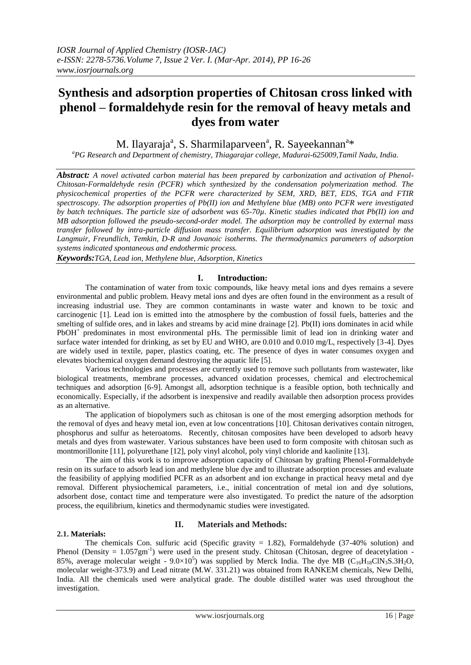# **Synthesis and adsorption properties of Chitosan cross linked with phenol – formaldehyde resin for the removal of heavy metals and dyes from water**

M. Ilayaraja<sup>a</sup>, S. Sharmilaparveen<sup>a</sup>, R. Sayeekannan<sup>a</sup>\*

*<sup>a</sup>PG Research and Department of chemistry, Thiagarajar college, Madurai-625009,Tamil Nadu, India.*

*Abstract: A novel activated carbon material has been prepared by carbonization and activation of Phenol-Chitosan-Formaldehyde resin (PCFR) which synthesized by the condensation polymerization method. The physicochemical properties of the PCFR were characterized by SEM, XRD, BET, EDS, TGA and FTIR spectroscopy. The adsorption properties of Pb(II) ion and Methylene blue (MB) onto PCFR were investigated by batch techniques. The particle size of adsorbent was 65-70µ. Kinetic studies indicated that Pb(II) ion and MB adsorption followed the pseudo-second-order model. The adsorption may be controlled by external mass transfer followed by intra-particle diffusion mass transfer. Equilibrium adsorption was investigated by the Langmuir, Freundlich, Temkin, D-R and Jovanoic isotherms. The thermodynamics parameters of adsorption systems indicated spontaneous and endothermic process.*

*Keywords:TGA, Lead ion, Methylene blue, Adsorption, Kinetics*

# **I. Introduction:**

The contamination of water from toxic compounds, like heavy metal ions and dyes remains a severe environmental and public problem. Heavy metal ions and dyes are often found in the environment as a result of increasing industrial use. They are common contaminants in waste water and known to be toxic and carcinogenic [1]. Lead ion is emitted into the atmosphere by the combustion of fossil fuels, batteries and the smelting of sulfide ores, and in lakes and streams by acid mine drainage [2]. Pb(II) ions dominates in acid while PbOH<sup>+</sup> predominates in most environmental pHs. The permissible limit of lead ion in drinking water and surface water intended for drinking, as set by EU and WHO, are 0.010 and 0.010 mg/L, respectively [3-4]. Dyes are widely used in textile, paper, plastics coating, etc. The presence of dyes in water consumes oxygen and elevates biochemical oxygen demand destroying the aquatic life [5].

Various technologies and processes are currently used to remove such pollutants from wastewater, like biological treatments, membrane processes, advanced oxidation processes, chemical and electrochemical techniques and adsorption [6-9]. Amongst all, adsorption technique is a feasible option, both technically and economically. Especially, if the adsorbent is inexpensive and readily available then adsorption process provides as an alternative.

The application of biopolymers such as chitosan is one of the most emerging adsorption methods for the removal of dyes and heavy metal ion, even at low concentrations [10]. Chitosan derivatives contain nitrogen, phosphorus and sulfur as heteroatoms. Recently, chitosan composites have been developed to adsorb heavy metals and dyes from wastewater. Various substances have been used to form composite with chitosan such as montmorillonite [11], polyurethane [12], poly vinyl alcohol, poly vinyl chloride and kaolinite [13].

The aim of this work is to improve adsorption capacity of Chitosan by grafting Phenol-Formaldehyde resin on its surface to adsorb lead ion and methylene blue dye and to illustrate adsorption processes and evaluate the feasibility of applying modified PCFR as an adsorbent and ion exchange in practical heavy metal and dye removal. Different physiochemical parameters, i.e., initial concentration of metal ion and dye solutions, adsorbent dose, contact time and temperature were also investigated. To predict the nature of the adsorption process, the equilibrium, kinetics and thermodynamic studies were investigated.

# **2.1. Materials:**

# **II. Materials and Methods:**

The chemicals Con. sulfuric acid (Specific gravity  $= 1.82$ ), Formaldehyde (37-40% solution) and Phenol (Density =  $1.057gm^{-1}$ ) were used in the present study. Chitosan (Chitosan, degree of deacetylation -85%, average molecular weight -  $9.0 \times 10^5$ ) was supplied by Merck India. The dye MB (C<sub>16</sub>H<sub>18</sub>ClN<sub>3</sub>S.3H<sub>2</sub>O, molecular weight-373.9) and Lead nitrate (M.W. 331.21) was obtained from RANKEM chemicals, New Delhi, India. All the chemicals used were analytical grade. The double distilled water was used throughout the investigation.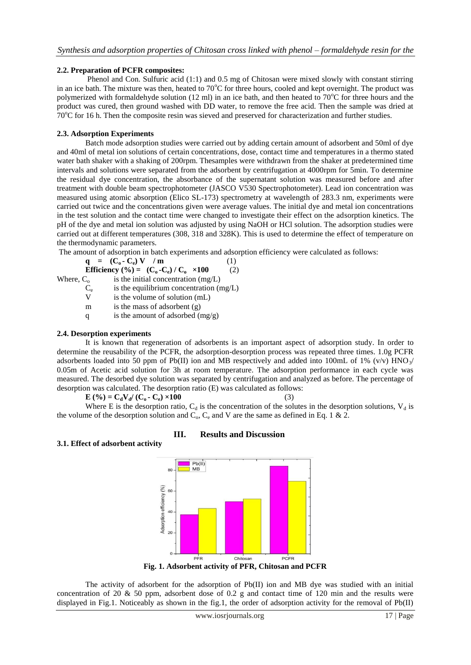#### **2.2. Preparation of PCFR composites:**

Phenol and Con. Sulfuric acid (1:1) and 0.5 mg of Chitosan were mixed slowly with constant stirring in an ice bath. The mixture was then, heated to  $70^{\circ}$ C for three hours, cooled and kept overnight. The product was polymerized with formaldehyde solution (12 ml) in an ice bath, and then heated to  $70^{\circ}$ C for three hours and the product was cured, then ground washed with DD water, to remove the free acid. Then the sample was dried at 70<sup>o</sup>C for 16 h. Then the composite resin was sieved and preserved for characterization and further studies.

#### **2.3. Adsorption Experiments**

Batch mode adsorption studies were carried out by adding certain amount of adsorbent and 50ml of dye and 40ml of metal ion solutions of certain concentrations, dose, contact time and temperatures in a thermo stated water bath shaker with a shaking of 200rpm. Thesamples were withdrawn from the shaker at predetermined time intervals and solutions were separated from the adsorbent by centrifugation at 4000rpm for 5min. To determine the residual dye concentration, the absorbance of the supernatant solution was measured before and after treatment with double beam spectrophotometer (JASCO V530 Spectrophotometer). Lead ion concentration was measured using atomic absorption (Elico SL-173) spectrometry at wavelength of 283.3 nm, experiments were carried out twice and the concentrations given were average values. The initial dye and metal ion concentrations in the test solution and the contact time were changed to investigate their effect on the adsorption kinetics. The pH of the dye and metal ion solution was adjusted by using NaOH or HCl solution. The adsorption studies were carried out at different temperatures (308, 318 and 328K). This is used to determine the effect of temperature on the thermodynamic parameters.

The amount of adsorption in batch experiments and adsorption efficiency were calculated as follows:

$$
\mathbf{q} = (\mathbf{C}_0 - \mathbf{C}_e) \mathbf{V} / \mathbf{m}
$$
 (1)  
Efficiency (%) =  $(\mathbf{C}_0 - \mathbf{C}_e) / \mathbf{C}_o \times 100$  (2)  
Where,  $\mathbf{C}_o$  is the initial concentration (mg/L)

is the initial concentration  $(mg/L)$  $\frac{C_e}{V}$ is the equilibrium concentration (mg/L)

- is the volume of solution  $(mL)$
- m is the mass of adsorbent (g)
- q is the amount of adsorbed  $(mg/g)$

#### **2.4. Desorption experiments**

**3.1. Effect of adsorbent activity**

It is known that regeneration of adsorbents is an important aspect of adsorption study. In order to determine the reusability of the PCFR, the adsorption-desorption process was repeated three times. 1.0g PCFR adsorbents loaded into 50 ppm of Pb(II) ion and MB respectively and added into 100mL of 1% (v/v) HNO $\gamma$ 0.05m of Acetic acid solution for 3h at room temperature. The adsorption performance in each cycle was measured. The desorbed dye solution was separated by centrifugation and analyzed as before. The percentage of desorption was calculated. The desorption ratio (E) was calculated as follows:

**E** (%) =  $C_dV_d/(C_o - C_e) \times 100$  (3)

Where E is the desorption ratio,  $C_d$  is the concentration of the solutes in the desorption solutions,  $V_d$  is the volume of the desorption solution and  $C_0$ ,  $C_e$  and V are the same as defined in Eq. 1 & 2.

# **III. Results and Discussion**



**Fig. 1. Adsorbent activity of PFR, Chitosan and PCFR**

The activity of adsorbent for the adsorption of Pb(II) ion and MB dye was studied with an initial concentration of 20 & 50 ppm, adsorbent dose of 0.2 g and contact time of 120 min and the results were displayed in Fig.1. Noticeably as shown in the fig.1, the order of adsorption activity for the removal of Pb(II)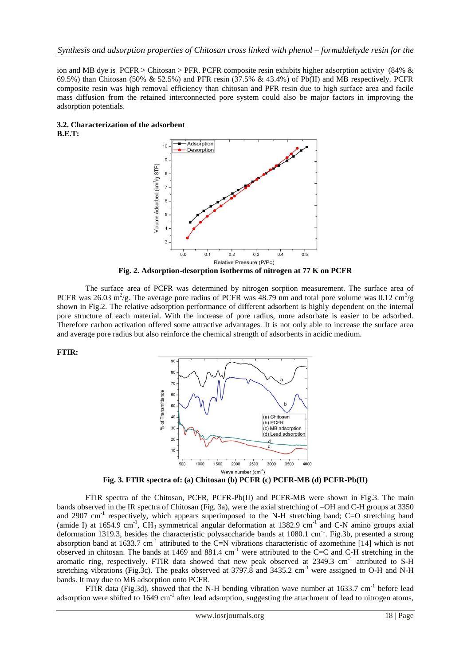ion and MB dye is PCFR > Chitosan > PFR. PCFR composite resin exhibits higher adsorption activity (84% & 69.5%) than Chitosan (50% & 52.5%) and PFR resin (37.5% & 43.4%) of Pb(II) and MB respectively. PCFR composite resin was high removal efficiency than chitosan and PFR resin due to high surface area and facile mass diffusion from the retained interconnected pore system could also be major factors in improving the adsorption potentials.





**Fig. 2. Adsorption-desorption isotherms of nitrogen at 77 K on PCFR**

The surface area of PCFR was determined by nitrogen sorption measurement. The surface area of PCFR was 26.03 m<sup>2</sup>/g. The average pore radius of PCFR was 48.79 nm and total pore volume was 0.12 cm<sup>3</sup>/g shown in Fig.2. The relative adsorption performance of different adsorbent is highly dependent on the internal pore structure of each material. With the increase of pore radius, more adsorbate is easier to be adsorbed. Therefore carbon activation offered some attractive advantages. It is not only able to increase the surface area and average pore radius but also reinforce the chemical strength of adsorbents in acidic medium.





**Fig. 3. FTIR spectra of: (a) Chitosan (b) PCFR (c) PCFR-MB (d) PCFR-Pb(II)**

FTIR spectra of the Chitosan, PCFR, PCFR-Pb(II) and PCFR-MB were shown in Fig.3. The main bands observed in the IR spectra of Chitosan (Fig. 3a), were the axial stretching of –OH and C-H groups at 3350 and 2907 cm<sup>-1</sup> respectively, which appears superimposed to the N-H stretching band; C=O stretching band (amide I) at  $1654.9$  cm<sup>-1</sup>, CH<sub>3</sub> symmetrical angular deformation at 1382.9 cm<sup>-1</sup> and C-N amino groups axial deformation 1319.3, besides the characteristic polysaccharide bands at 1080.1 cm<sup>-1</sup>. Fig.3b, presented a strong absorption band at 1633.7 cm<sup>-1</sup> attributed to the C=N vibrations characteristic of azomethine [14] which is not observed in chitosan. The bands at 1469 and 881.4 cm<sup>-1</sup> were attributed to the C=C and C-H stretching in the aromatic ring, respectively. FTIR data showed that new peak observed at 2349.3 cm<sup>-1</sup> attributed to S-H stretching vibrations (Fig.3c). The peaks observed at 3797.8 and 3435.2 cm<sup>-1</sup> were assigned to O-H and N-H bands. It may due to MB adsorption onto PCFR.

FTIR data (Fig.3d), showed that the N-H bending vibration wave number at  $1633.7 \text{ cm}^{-1}$  before lead adsorption were shifted to  $1649 \text{ cm}^{-1}$  after lead adsorption, suggesting the attachment of lead to nitrogen atoms,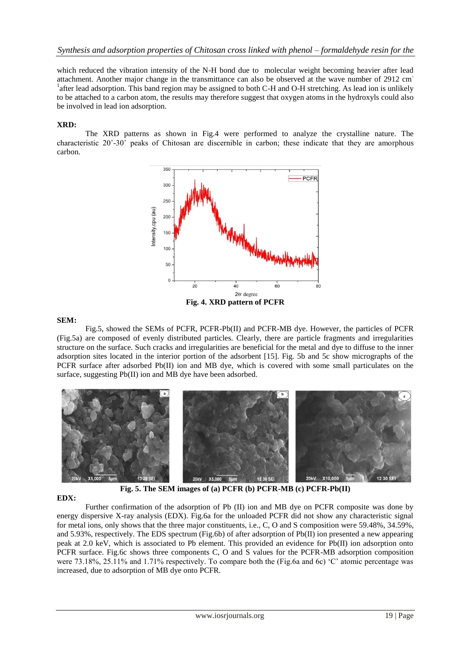which reduced the vibration intensity of the N-H bond due to molecular weight becoming heavier after lead attachment. Another major change in the transmittance can also be observed at the wave number of 2912 cm-<sup>1</sup>after lead adsorption. This band region may be assigned to both C-H and O-H stretching. As lead ion is unlikely to be attached to a carbon atom, the results may therefore suggest that oxygen atoms in the hydroxyls could also be involved in lead ion adsorption.

# **XRD:**

The XRD patterns as shown in Fig.4 were performed to analyze the crystalline nature. The characteristic  $20^{\circ}$ -30 $^{\circ}$  peaks of Chitosan are discernible in carbon; these indicate that they are amorphous carbon.



#### **SEM:**

Fig.5, showed the SEMs of PCFR, PCFR-Pb(II) and PCFR-MB dye. However, the particles of PCFR (Fig.5a) are composed of evenly distributed particles. Clearly, there are particle fragments and irregularities structure on the surface. Such cracks and irregularities are beneficial for the metal and dye to diffuse to the inner adsorption sites located in the interior portion of the adsorbent [15]. Fig. 5b and 5c show micrographs of the PCFR surface after adsorbed Pb(II) ion and MB dye, which is covered with some small particulates on the surface, suggesting Pb(II) ion and MB dye have been adsorbed.



**Fig. 5. The SEM images of (a) PCFR (b) PCFR-MB (c) PCFR-Pb(II)**

# **EDX:**

Further confirmation of the adsorption of Pb (II) ion and MB dye on PCFR composite was done by energy dispersive X-ray analysis (EDX). Fig.6a for the unloaded PCFR did not show any characteristic signal for metal ions, only shows that the three major constituents, i.e., C, O and S composition were 59.48%, 34.59%, and 5.93%, respectively. The EDS spectrum (Fig.6b) of after adsorption of Pb(II) ion presented a new appearing peak at 2.0 keV, which is associated to Pb element. This provided an evidence for Pb(II) ion adsorption onto PCFR surface. Fig.6c shows three components C, O and S values for the PCFR-MB adsorption composition were 73.18%, 25.11% and 1.71% respectively. To compare both the (Fig.6a and 6c) 'C' atomic percentage was increased, due to adsorption of MB dye onto PCFR.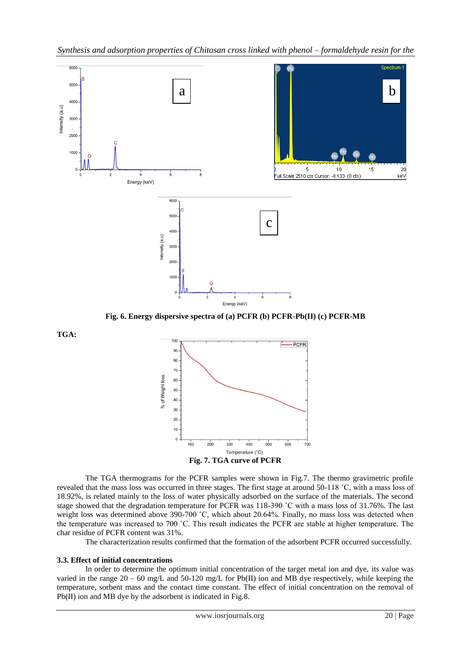

**Fig. 6. Energy dispersive spectra of (a) PCFR (b) PCFR-Pb(II) (c) PCFR-MB**



The TGA thermograms for the PCFR samples were shown in Fig.7. The thermo gravimetric profile revealed that the mass loss was occurred in three stages. The first stage at around 50-118 ˚C, with a mass loss of 18.92%, is related mainly to the loss of water physically adsorbed on the surface of the materials. The second stage showed that the degradation temperature for PCFR was 118-390 ˚C with a mass loss of 31.76%. The last weight loss was determined above 390-700 °C, which about 20.64%. Finally, no mass loss was detected when the temperature was increased to 700 ˚C. This result indicates the PCFR are stable at higher temperature. The char residue of PCFR content was 31%.

The characterization results confirmed that the formation of the adsorbent PCFR occurred successfully.

#### **3.3. Effect of initial concentrations**

**TGA:**

In order to determine the optimum initial concentration of the target metal ion and dye, its value was varied in the range  $20 - 60$  mg/L and  $50-120$  mg/L for Pb(II) ion and MB dye respectively, while keeping the temperature, sorbent mass and the contact time constant. The effect of initial concentration on the removal of Pb(II) ion and MB dye by the adsorbent is indicated in Fig.8.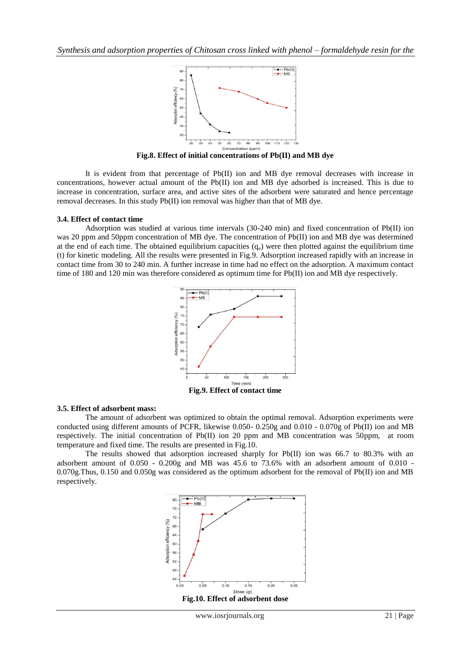

**Fig.8. Effect of initial concentrations of Pb(II) and MB dye**

It is evident from that percentage of Pb(II) ion and MB dye removal decreases with increase in concentrations, however actual amount of the Pb(II) ion and MB dye adsorbed is increased. This is due to increase in concentration, surface area, and active sites of the adsorbent were saturated and hence percentage removal decreases. In this study Pb(II) ion removal was higher than that of MB dye.

#### **3.4. Effect of contact time**

Adsorption was studied at various time intervals (30-240 min) and fixed concentration of Pb(II) ion was 20 ppm and 50ppm concentration of MB dye. The concentration of Pb(II) ion and MB dye was determined at the end of each time. The obtained equilibrium capacities  $(q_e)$  were then plotted against the equilibrium time (t) for kinetic modeling. All the results were presented in Fig.9. Adsorption increased rapidly with an increase in contact time from 30 to 240 min. A further increase in time had no effect on the adsorption. A maximum contact time of 180 and 120 min was therefore considered as optimum time for Pb(II) ion and MB dye respectively.



**Fig.9. Effect of contact time**

#### **3.5. Effect of adsorbent mass:**

The amount of adsorbent was optimized to obtain the optimal removal. Adsorption experiments were conducted using different amounts of PCFR, likewise 0.050- 0.250g and 0.010 - 0.070g of Pb(II) ion and MB respectively. The initial concentration of Pb(II) ion 20 ppm and MB concentration was 50ppm, at room temperature and fixed time. The results are presented in Fig.10.

The results showed that adsorption increased sharply for  $Pb(II)$  ion was 66.7 to 80.3% with an adsorbent amount of  $0.050 - 0.200g$  and MB was 45.6 to 73.6% with an adsorbent amount of  $0.010 - 1$ 0.070g.Thus, 0.150 and 0.050g was considered as the optimum adsorbent for the removal of Pb(II) ion and MB respectively.

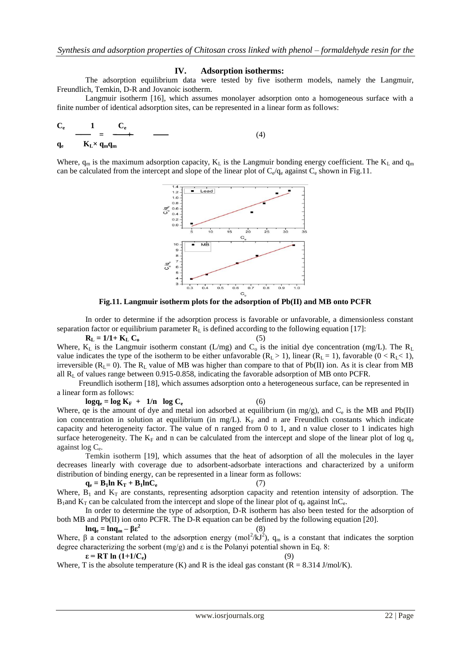#### **IV. Adsorption isotherms:**

The adsorption equilibrium data were tested by five isotherm models, namely the Langmuir, Freundlich, Temkin, D-R and Jovanoic isotherm.

Langmuir isotherm [16], which assumes monolayer adsorption onto a homogeneous surface with a finite number of identical adsorption sites, can be represented in a linear form as follows:

$$
\frac{C_e}{C_e} = \frac{1}{C_e} = \frac{C_e}{C_e} \tag{4}
$$

**qe**  $K_L \times q_m q_m$ 

Where,  $q_m$  is the maximum adsorption capacity,  $K_L$  is the Langmuir bonding energy coefficient. The  $K_L$  and  $q_m$ can be calculated from the intercept and slope of the linear plot of  $C_e/q_e$  against  $C_e$  shown in Fig.11.



**Fig.11. Langmuir isotherm plots for the adsorption of Pb(II) and MB onto PCFR**

In order to determine if the adsorption process is favorable or unfavorable, a dimensionless constant separation factor or equilibrium parameter  $R<sub>L</sub>$  is defined according to the following equation [17]:

 $R_L = 1/1 + K_L C_0$  (5) Where,  $K_L$  is the Langmuir isotherm constant (L/mg) and  $C_0$  is the initial dye concentration (mg/L). The  $R_L$ value indicates the type of the isotherm to be either unfavorable  $(R_L > 1)$ , linear  $(R_L = 1)$ , favorable  $(0 < R_L < 1)$ , irreversible ( $R_L = 0$ ). The  $R_L$  value of MB was higher than compare to that of Pb(II) ion. As it is clear from MB all R<sup>L</sup> of values range between 0.915-0.858, indicating the favorable adsorption of MB onto PCFR.

 Freundlich isotherm [18], which assumes adsorption onto a heterogeneous surface, can be represented in a linear form as follows:

 $\log q_e = \log K_F + 1/n \log C_e$  (6) Where, qe is the amount of dye and metal ion adsorbed at equilibrium (in mg/g), and  $C_e$  is the MB and Pb(II) ion concentration in solution at equilibrium (in mg/L).  $K_F$  and n are Freundlich constants which indicate capacity and heterogeneity factor. The value of n ranged from 0 to 1, and n value closer to 1 indicates high surface heterogeneity. The  $K_F$  and n can be calculated from the intercept and slope of the linear plot of log  $q_e$ 

against log C<sup>e</sup> . Temkin isotherm [19], which assumes that the heat of adsorption of all the molecules in the layer decreases linearly with coverage due to adsorbent-adsorbate interactions and characterized by a uniform distribution of binding energy, can be represented in a linear form as follows:

 $q_e = B_1 \ln K_T + B_1 \ln C_e$  (7) Where,  $B_1$  and  $K_T$  are constants, representing adsorption capacity and retention intensity of adsorption. The  $B_1$  and  $K_T$  can be calculated from the intercept and slope of the linear plot of  $q_e$  against lnC<sub>e</sub>.

In order to determine the type of adsorption, D-R isotherm has also been tested for the adsorption of both MB and Pb(II) ion onto PCFR. The D-R equation can be defined by the following equation [20].

**lnq**<sub>e</sub> = **lnq**<sub>m</sub> –  $\beta \epsilon^2$ (8) Where,  $\beta$  a constant related to the adsorption energy (mol<sup>2</sup>/kJ<sup>2</sup>), q<sub>m</sub> is a constant that indicates the sorption degree characterizing the sorbent (mg/g) and  $\varepsilon$  is the Polanyi potential shown in Eq. 8:  $\epsilon = RT \ln (1 + 1/C_e)$  (9)

Where, T is the absolute temperature (K) and R is the ideal gas constant ( $R = 8.314$  J/mol/K).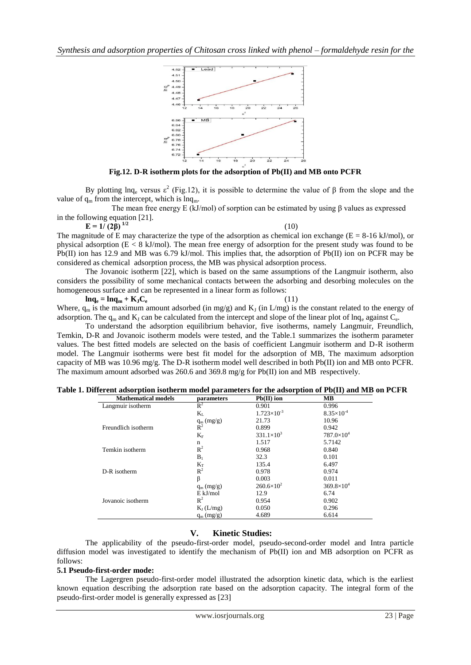

**Fig.12. D-R isotherm plots for the adsorption of Pb(II) and MB onto PCFR**

By plotting lnq<sub>e</sub> versus  $ε^2$  (Fig.12), it is possible to determine the value of β from the slope and the value of  $q_m$  from the intercept, which is  $ln q_m$ .

The mean free energy E (kJ/mol) of sorption can be estimated by using β values as expressed in the following equation [21].

 $E = 1/(2\beta)^{1/2}$  (10)

The magnitude of E may characterize the type of the adsorption as chemical ion exchange ( $E = 8-16 \text{ kJ/mol}$ ), or physical adsorption (E < 8 kJ/mol). The mean free energy of adsorption for the present study was found to be Pb(II) ion has 12.9 and MB was 6.79 kJ/mol. This implies that, the adsorption of Pb(II) ion on PCFR may be considered as chemical adsorption process, the MB was physical adsorption process.

The Jovanoic isotherm [22], which is based on the same assumptions of the Langmuir isotherm, also considers the possibility of some mechanical contacts between the adsorbing and desorbing molecules on the homogeneous surface and can be represented in a linear form as follows:

 $\ln q_e = \ln q_m + K_I C_e$  (11)

Where,  $q_m$  is the maximum amount adsorbed (in mg/g) and  $K_1$  (in L/mg) is the constant related to the energy of adsorption. The  $q_m$  and  $K_J$  can be calculated from the intercept and slope of the linear plot of lnq<sub>e</sub> against  $C_e$ .

To understand the adsorption equilibrium behavior, five isotherms, namely Langmuir, Freundlich, Temkin, D-R and Jovanoic isotherm models were tested, and the Table.1 summarizes the isotherm parameter values. The best fitted models are selected on the basis of coefficient Langmuir isotherm and D-R isotherm model. The Langmuir isotherms were best fit model for the adsorption of MB, The maximum adsorption capacity of MB was 10.96 mg/g. The D-R isotherm model well described in both  $Pb(II)$  ion and MB onto PCFR. The maximum amount adsorbed was 260.6 and 369.8 mg/g for Pb(II) ion and MB respectively.

| <b>Mathematical models</b> | parameters     | $Pb(II)$ ion         | MВ                  |  |
|----------------------------|----------------|----------------------|---------------------|--|
| Langmuir isotherm          | $R^2$          | 0.901                | 0.996               |  |
|                            | $K_{L}$        | $1.723\times10^{-3}$ | $8.35\times10^{-4}$ |  |
|                            | $q_m (mg/g)$   | 21.73                | 10.96               |  |
| Freundlich isotherm        | $R^2$          | 0.899                | 0.942               |  |
|                            | $K_{\rm F}$    | $331.1\times10^{3}$  | $787.0\times10^{4}$ |  |
|                            | n              | 1.517                | 5.7142              |  |
| Temkin isotherm            | $\mathbb{R}^2$ | 0.968                | 0.840               |  |
|                            | $B_1$          | 32.3                 | 0.101               |  |
|                            | $K_T$          | 135.4                | 6.497               |  |
| D-R isotherm               | $R^2$          | 0.978                | 0.974               |  |
|                            | β              | 0.003                | 0.011               |  |
|                            | $q_m$ (mg/g)   | $260.6\times10^{2}$  | $369.8\times10^{4}$ |  |
|                            | $E$ kJ/mol     | 12.9                 | 6.74                |  |
| Jovanoic isotherm          | $R^2$          | 0.954                | 0.902               |  |
|                            | $K_I(L/mg)$    | 0.050                | 0.296               |  |
|                            | $q_m$ (mg/g)   | 4.689                | 6.614               |  |

#### **V. Kinetic Studies:**

The applicability of the pseudo-first-order model, pseudo-second-order model and Intra particle diffusion model was investigated to identify the mechanism of Pb(II) ion and MB adsorption on PCFR as follows:

#### **5.1 Pseudo-first-order mode:**

The Lagergren pseudo-first-order model illustrated the adsorption kinetic data, which is the earliest known equation describing the adsorption rate based on the adsorption capacity. The integral form of the pseudo-first-order model is generally expressed as [23]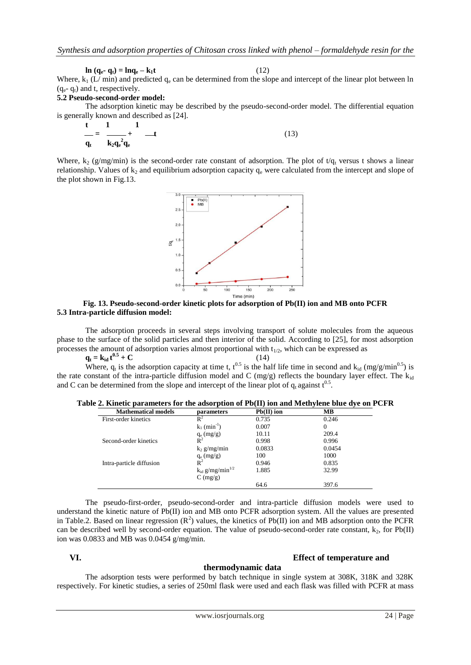$\ln (q_e - q_t) = \ln q_e - k_1 t$  (12)

Where,  $k_1$  (L/ min) and predicted  $q_e$  can be determined from the slope and intercept of the linear plot between ln  $(q_e - q_t)$  and t, respectively.

#### **5.2 Pseudo-second-order model:**

The adsorption kinetic may be described by the pseudo-second-order model. The differential equation is generally known and described as [24].

$$
\frac{t}{q_t} = \frac{1}{k_2 q_e^2 q_e} + \frac{1}{\sqrt{1}} \tag{13}
$$

Where,  $k_2$  (g/mg/min) is the second-order rate constant of adsorption. The plot of  $t/q_t$  versus t shows a linear relationship. Values of  $k<sub>2</sub>$  and equilibrium adsorption capacity  $q<sub>e</sub>$  were calculated from the intercept and slope of the plot shown in Fig.13.



#### **Fig. 13. Pseudo-second-order kinetic plots for adsorption of Pb(II) ion and MB onto PCFR 5.3 Intra-particle diffusion model:**

The adsorption proceeds in several steps involving transport of solute molecules from the aqueous phase to the surface of the solid particles and then interior of the solid. According to [25], for most adsorption processes the amount of adsorption varies almost proportional with  $t_{1/2}$ , which can be expressed as

 $q_t = k_{id} t^{0.5} + C$  (14)

Where,  $q_t$  is the adsorption capacity at time t,  $t^{0.5}$  is the half life time in second and  $k_{id}$  (mg/g/min<sup>0.5</sup>) is the rate constant of the intra-particle diffusion model and C (mg/g) reflects the boundary layer effect. The  $k_{id}$ and C can be determined from the slope and intercept of the linear plot of  $q_t$  against  $t^{0.5}$ .

# **Table 2. Kinetic parameters for the adsorption of Pb(II) ion and Methylene blue dye on PCFR**

| <b>Mathematical models</b> | parameters                       | $Pb(II)$ ion | MВ     |  |
|----------------------------|----------------------------------|--------------|--------|--|
| First-order kinetics       | $R^2$                            | 0.735        | 0.246  |  |
|                            | $k_1$ (min <sup>-1</sup> )       | 0.007        | 0      |  |
|                            | $q_e$ (mg/g)                     | 10.11        | 209.4  |  |
| Second-order kinetics      | $R^2$                            | 0.998        | 0.996  |  |
|                            | $k_2$ g/mg/min                   | 0.0833       | 0.0454 |  |
|                            | $q_e (mg/g)$                     | 100          | 1000   |  |
| Intra-particle diffusion   | $\overline{\mathsf{R}}^2$        | 0.946        | 0.835  |  |
|                            | $k_{id}$ g/mg/min <sup>1/2</sup> | 1.885        | 32.99  |  |
|                            | $C \left( \frac{mg}{g} \right)$  |              |        |  |
|                            |                                  | 64.6         | 397.6  |  |

The pseudo-first-order, pseudo-second-order and intra-particle diffusion models were used to understand the kinetic nature of Pb(II) ion and MB onto PCFR adsorption system. All the values are presented in Table.2. Based on linear regression  $(R^2)$  values, the kinetics of Pb(II) ion and MB adsorption onto the PCFR can be described well by second-order equation. The value of pseudo-second-order rate constant,  $k_2$ , for Pb(II) ion was 0.0833 and MB was 0.0454 g/mg/min.

#### **VI. Effect of temperature and**

# **thermodynamic data**

The adsorption tests were performed by batch technique in single system at 308K, 318K and 328K respectively. For kinetic studies, a series of 250ml flask were used and each flask was filled with PCFR at mass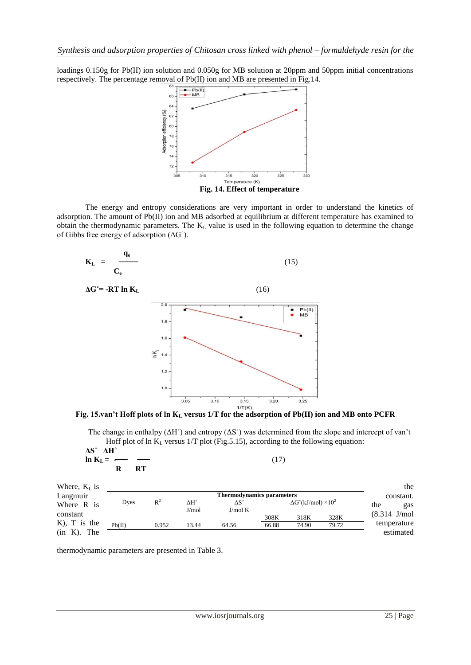loadings 0.150g for Pb(II) ion solution and 0.050g for MB solution at 20ppm and 50ppm initial concentrations respectively. The percentage removal of Pb(II) ion and MB are presented in Fig.14.



The energy and entropy considerations are very important in order to understand the kinetics of adsorption. The amount of Pb(II) ion and MB adsorbed at equilibrium at different temperature has examined to obtain the thermodynamic parameters. The  $K<sub>L</sub>$  value is used in the following equation to determine the change of Gibbs free energy of adsorption (ΔG˚).



**Fig. 15.van't Hoff plots of ln K<sup>L</sup> versus 1/T for the adsorption of Pb(II) ion and MB onto PCFR**

The change in enthalpy  $(\Delta H^{\circ})$  and entropy  $(\Delta S^{\circ})$  was determined from the slope and intercept of van't Hoff plot of ln  $K_L$  versus 1/T plot (Fig.5.15), according to the following equation:

| $\Delta S^{\circ}$ $\Delta H^{\circ}$ |           |      |  |
|---------------------------------------|-----------|------|--|
| $\ln K_L =$ — —                       |           | (17) |  |
| R                                     | <b>RT</b> |      |  |

| Where, $KL$ is<br>Langmuir        |        |       |                             | <b>Thermodynamics parameters</b> |       |                                           |       | the<br>constant.         |
|-----------------------------------|--------|-------|-----------------------------|----------------------------------|-------|-------------------------------------------|-------|--------------------------|
| Where R is                        | Dyes   | $R^2$ | $\Delta H^{\circ}$<br>J/mol | $\Delta S^{\circ}$<br>J/mol K    |       | $-\Delta G^{\circ}(kJ/mol) \times 10^{2}$ |       | the<br>gas               |
| constant                          |        |       |                             |                                  | 308K  | 318K                                      | 328K  | $(8.314$ J/mol           |
| $K$ ), T is the<br>(in K).<br>The | Pb(II) | 0.952 | 13.44                       | 64.56                            | 66.88 | 74.90                                     | 79.72 | temperature<br>estimated |

thermodynamic parameters are presented in Table 3.